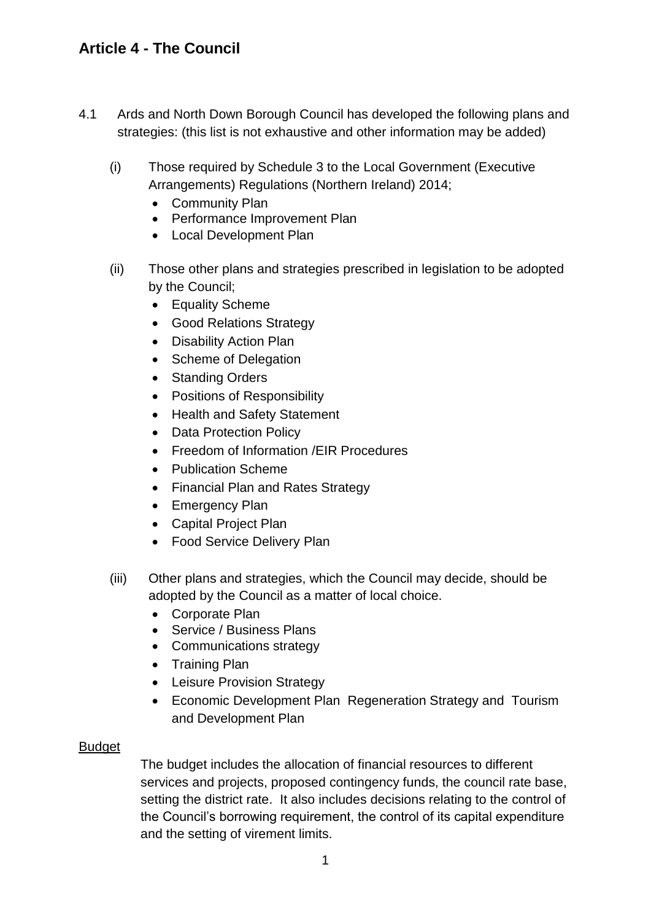- 4.1 Ards and North Down Borough Council has developed the following plans and strategies: (this list is not exhaustive and other information may be added)
	- (i) Those required by Schedule 3 to the Local Government (Executive Arrangements) Regulations (Northern Ireland) 2014;
		- Community Plan
		- Performance Improvement Plan
		- Local Development Plan
	- (ii) Those other plans and strategies prescribed in legislation to be adopted by the Council;
		- Equality Scheme
		- Good Relations Strategy
		- Disability Action Plan
		- Scheme of Delegation
		- Standing Orders
		- Positions of Responsibility
		- Health and Safety Statement
		- Data Protection Policy
		- Freedom of Information / EIR Procedures
		- Publication Scheme
		- Financial Plan and Rates Strategy
		- Emergency Plan
		- Capital Project Plan
		- Food Service Delivery Plan
	- (iii) Other plans and strategies, which the Council may decide, should be adopted by the Council as a matter of local choice.
		- Corporate Plan
		- Service / Business Plans
		- Communications strategy
		- Training Plan
		- Leisure Provision Strategy
		- Economic Development Plan Regeneration Strategy and Tourism and Development Plan

#### Budget

The budget includes the allocation of financial resources to different services and projects, proposed contingency funds, the council rate base, setting the district rate. It also includes decisions relating to the control of the Council's borrowing requirement, the control of its capital expenditure and the setting of virement limits.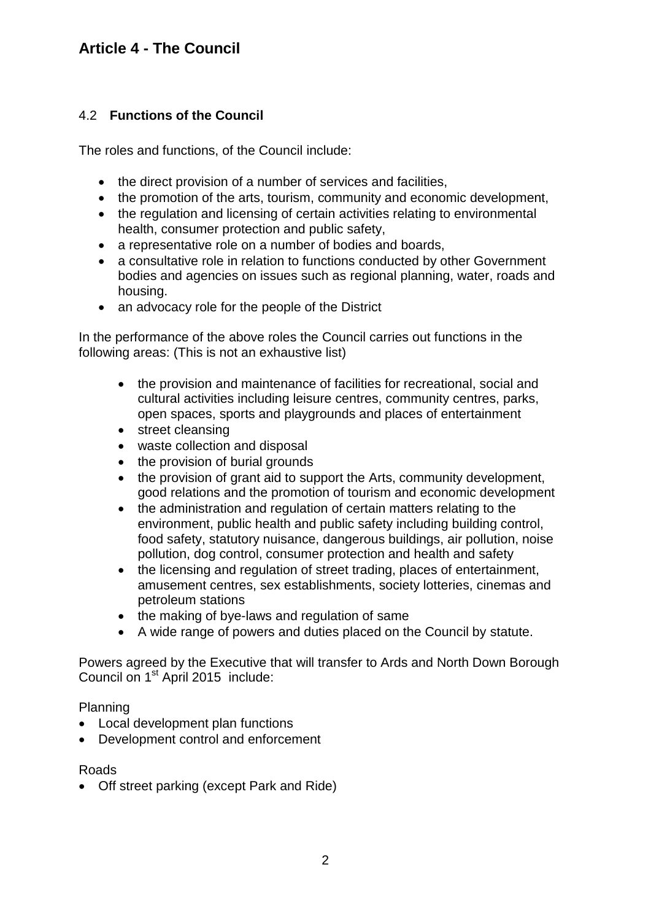### 4.2 **Functions of the Council**

The roles and functions, of the Council include:

- the direct provision of a number of services and facilities,
- the promotion of the arts, tourism, community and economic development,
- the regulation and licensing of certain activities relating to environmental health, consumer protection and public safety,
- a representative role on a number of bodies and boards,
- a consultative role in relation to functions conducted by other Government bodies and agencies on issues such as regional planning, water, roads and housing.
- an advocacy role for the people of the District

In the performance of the above roles the Council carries out functions in the following areas: (This is not an exhaustive list)

- the provision and maintenance of facilities for recreational, social and cultural activities including leisure centres, community centres, parks, open spaces, sports and playgrounds and places of entertainment
- street cleansing
- waste collection and disposal
- the provision of burial grounds
- the provision of grant aid to support the Arts, community development, good relations and the promotion of tourism and economic development
- the administration and regulation of certain matters relating to the environment, public health and public safety including building control, food safety, statutory nuisance, dangerous buildings, air pollution, noise pollution, dog control, consumer protection and health and safety
- the licensing and regulation of street trading, places of entertainment, amusement centres, sex establishments, society lotteries, cinemas and petroleum stations
- the making of bye-laws and regulation of same
- A wide range of powers and duties placed on the Council by statute.

Powers agreed by the Executive that will transfer to Ards and North Down Borough Council on 1<sup>st</sup> April 2015 include:

Planning

- Local development plan functions
- Development control and enforcement

#### Roads

Off street parking (except Park and Ride)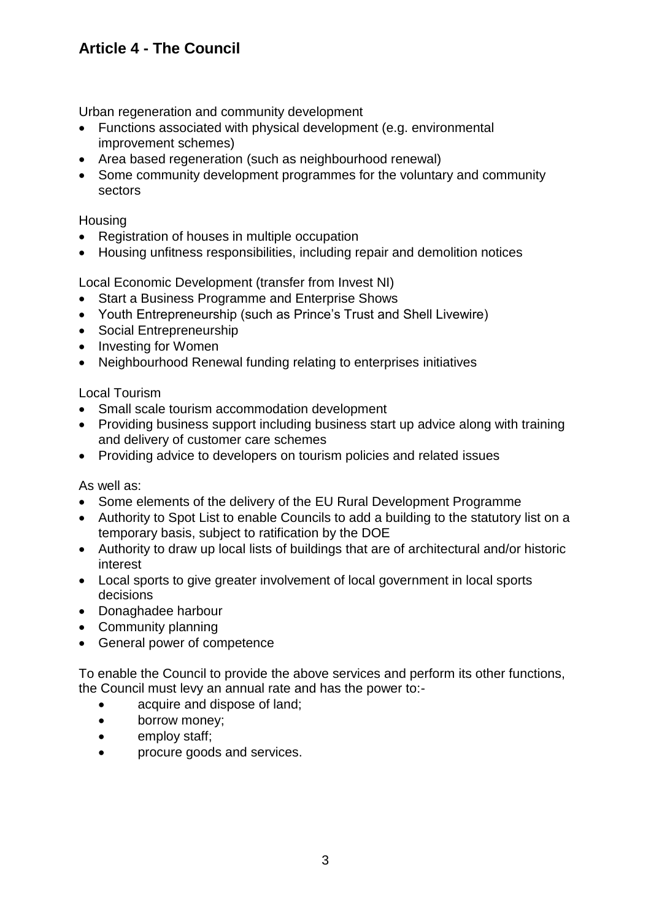Urban regeneration and community development

- Functions associated with physical development (e.g. environmental improvement schemes)
- Area based regeneration (such as neighbourhood renewal)
- Some community development programmes for the voluntary and community sectors

#### **Housing**

- Registration of houses in multiple occupation
- Housing unfitness responsibilities, including repair and demolition notices

Local Economic Development (transfer from Invest NI)

- Start a Business Programme and Enterprise Shows
- Youth Entrepreneurship (such as Prince's Trust and Shell Livewire)
- Social Entrepreneurship
- Investing for Women
- Neighbourhood Renewal funding relating to enterprises initiatives

### Local Tourism

- Small scale tourism accommodation development
- Providing business support including business start up advice along with training and delivery of customer care schemes
- Providing advice to developers on tourism policies and related issues

As well as:

- Some elements of the delivery of the EU Rural Development Programme
- Authority to Spot List to enable Councils to add a building to the statutory list on a temporary basis, subject to ratification by the DOE
- Authority to draw up local lists of buildings that are of architectural and/or historic interest
- Local sports to give greater involvement of local government in local sports decisions
- Donaghadee harbour
- Community planning
- General power of competence

To enable the Council to provide the above services and perform its other functions, the Council must levy an annual rate and has the power to:-

- acquire and dispose of land:
- borrow money;
- employ staff;
- procure goods and services.